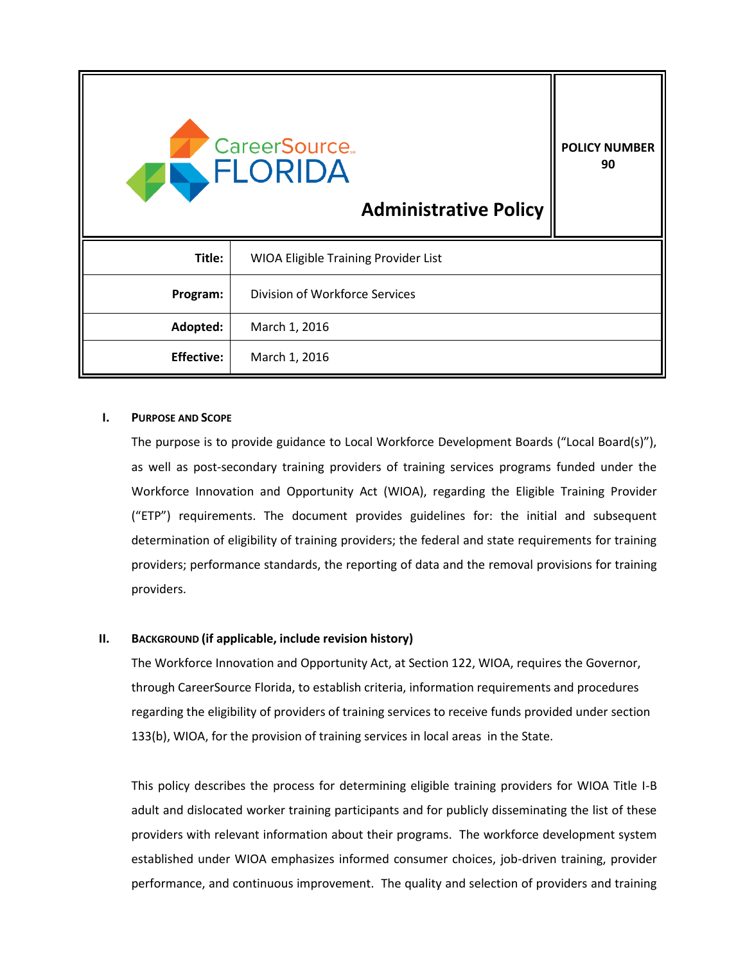| <b>CareerSource.</b><br>FLORIDA<br><b>Administrative Policy</b> |                                             | <b>POLICY NUMBER</b><br>90 |
|-----------------------------------------------------------------|---------------------------------------------|----------------------------|
| Title:                                                          | <b>WIOA Eligible Training Provider List</b> |                            |
| Program:                                                        | Division of Workforce Services              |                            |
| Adopted:                                                        | March 1, 2016                               |                            |
| <b>Effective:</b>                                               | March 1, 2016                               |                            |

#### **I. PURPOSE AND SCOPE**

The purpose is to provide guidance to Local Workforce Development Boards ("Local Board(s)"), as well as post-secondary training providers of training services programs funded under the Workforce Innovation and Opportunity Act (WIOA), regarding the Eligible Training Provider ("ETP") requirements. The document provides guidelines for: the initial and subsequent determination of eligibility of training providers; the federal and state requirements for training providers; performance standards, the reporting of data and the removal provisions for training providers.

## **II. BACKGROUND (if applicable, include revision history)**

The Workforce Innovation and Opportunity Act, at Section 122, WIOA, requires the Governor, through CareerSource Florida, to establish criteria, information requirements and procedures regarding the eligibility of providers of training services to receive funds provided under section 133(b), WIOA, for the provision of training services in local areas in the State.

This policy describes the process for determining eligible training providers for WIOA Title I-B adult and dislocated worker training participants and for publicly disseminating the list of these providers with relevant information about their programs. The workforce development system established under WIOA emphasizes informed consumer choices, job-driven training, provider performance, and continuous improvement. The quality and selection of providers and training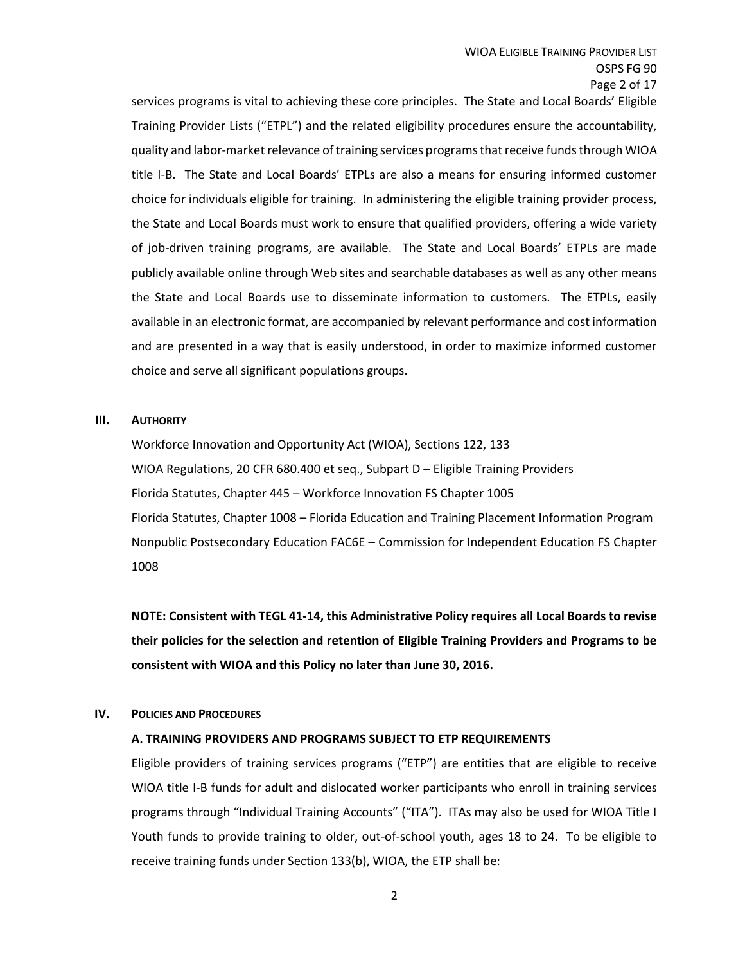services programs is vital to achieving these core principles. The State and Local Boards' Eligible Training Provider Lists ("ETPL") and the related eligibility procedures ensure the accountability, quality and labor-market relevance of training services programs that receive funds through WIOA title I-B. The State and Local Boards' ETPLs are also a means for ensuring informed customer choice for individuals eligible for training. In administering the eligible training provider process, the State and Local Boards must work to ensure that qualified providers, offering a wide variety of job-driven training programs, are available. The State and Local Boards' ETPLs are made publicly available online through Web sites and searchable databases as well as any other means the State and Local Boards use to disseminate information to customers. The ETPLs, easily available in an electronic format, are accompanied by relevant performance and cost information and are presented in a way that is easily understood, in order to maximize informed customer choice and serve all significant populations groups.

#### **III. AUTHORITY**

Workforce Innovation and Opportunity Act (WIOA), Sections 122, 133 WIOA Regulations, 20 CFR 680.400 et seq., Subpart D – Eligible Training Providers Florida Statutes, Chapter 445 – Workforce Innovation FS Chapter 1005 Florida Statutes, Chapter 1008 – Florida Education and Training Placement Information Program Nonpublic Postsecondary Education FAC6E – Commission for Independent Education FS Chapter 1008

**NOTE: Consistent with TEGL 41-14, this Administrative Policy requires all Local Boards to revise their policies for the selection and retention of Eligible Training Providers and Programs to be consistent with WIOA and this Policy no later than June 30, 2016.**

#### **IV. POLICIES AND PROCEDURES**

## **A. TRAINING PROVIDERS AND PROGRAMS SUBJECT TO ETP REQUIREMENTS**

Eligible providers of training services programs ("ETP") are entities that are eligible to receive WIOA title I-B funds for adult and dislocated worker participants who enroll in training services programs through "Individual Training Accounts" ("ITA"). ITAs may also be used for WIOA Title I Youth funds to provide training to older, out-of-school youth, ages 18 to 24. To be eligible to receive training funds under Section 133(b), WIOA, the ETP shall be: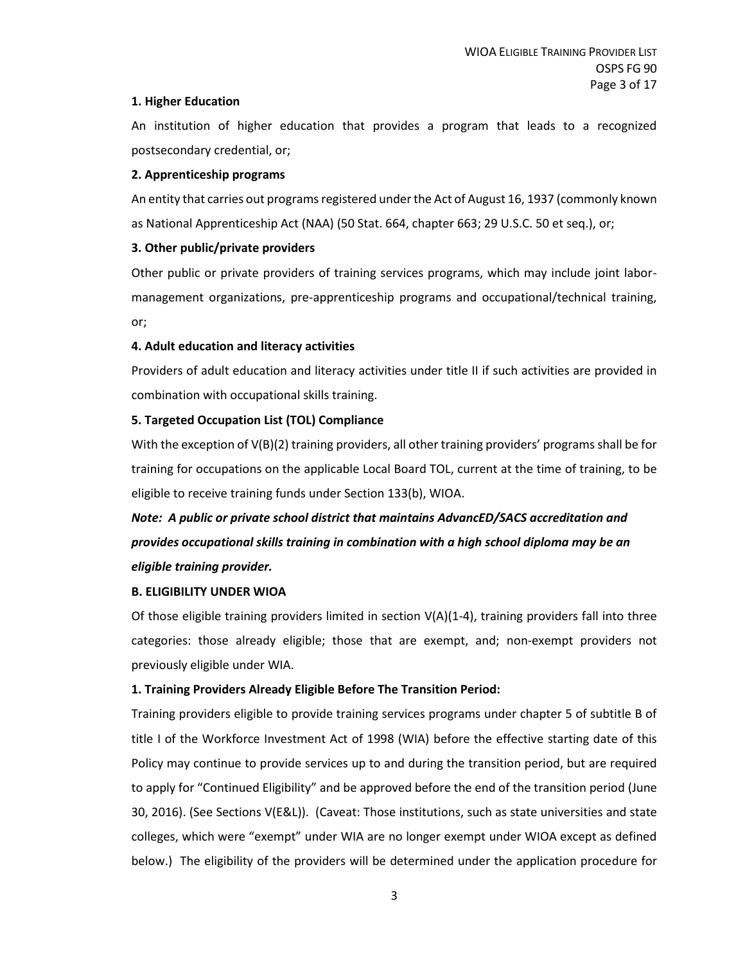## **1. Higher Education**

An institution of higher education that provides a program that leads to a recognized postsecondary credential, or;

### **2. Apprenticeship programs**

An entity that carries out programs registered under the Act of August 16, 1937 (commonly known as National Apprenticeship Act (NAA) (50 Stat. 664, chapter 663; 29 U.S.C. 50 et seq.), or;

## **3. Other public/private providers**

Other public or private providers of training services programs, which may include joint labormanagement organizations, pre-apprenticeship programs and occupational/technical training, or;

## **4. Adult education and literacy activities**

Providers of adult education and literacy activities under title II if such activities are provided in combination with occupational skills training.

## **5. Targeted Occupation List (TOL) Compliance**

With the exception of V(B)(2) training providers, all other training providers' programs shall be for training for occupations on the applicable Local Board TOL, current at the time of training, to be eligible to receive training funds under Section 133(b), WIOA.

# *Note: A public or private school district that maintains AdvancED/SACS accreditation and provides occupational skills training in combination with a high school diploma may be an eligible training provider.*

## **B. ELIGIBILITY UNDER WIOA**

Of those eligible training providers limited in section  $V(A)(1-4)$ , training providers fall into three categories: those already eligible; those that are exempt, and; non-exempt providers not previously eligible under WIA.

## **1. Training Providers Already Eligible Before The Transition Period:**

Training providers eligible to provide training services programs under chapter 5 of subtitle B of title I of the Workforce Investment Act of 1998 (WIA) before the effective starting date of this Policy may continue to provide services up to and during the transition period, but are required to apply for "Continued Eligibility" and be approved before the end of the transition period (June 30, 2016). (See Sections V(E&L)). (Caveat: Those institutions, such as state universities and state colleges, which were "exempt" under WIA are no longer exempt under WIOA except as defined below.) The eligibility of the providers will be determined under the application procedure for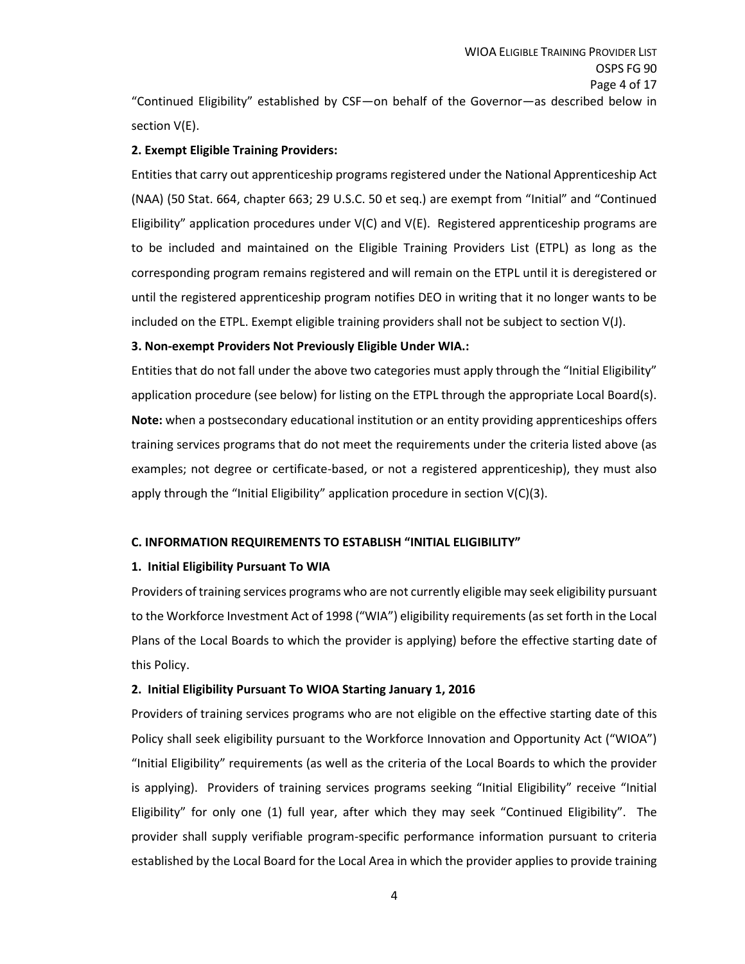"Continued Eligibility" established by CSF—on behalf of the Governor—as described below in section V(E).

## **2. Exempt Eligible Training Providers:**

Entities that carry out apprenticeship programs registered under the National Apprenticeship Act (NAA) (50 Stat. 664, chapter 663; 29 U.S.C. 50 et seq.) are exempt from "Initial" and "Continued Eligibility" application procedures under V(C) and V(E). Registered apprenticeship programs are to be included and maintained on the Eligible Training Providers List (ETPL) as long as the corresponding program remains registered and will remain on the ETPL until it is deregistered or until the registered apprenticeship program notifies DEO in writing that it no longer wants to be included on the ETPL. Exempt eligible training providers shall not be subject to section V(J).

### **3. Non-exempt Providers Not Previously Eligible Under WIA.:**

Entities that do not fall under the above two categories must apply through the "Initial Eligibility" application procedure (see below) for listing on the ETPL through the appropriate Local Board(s). **Note:** when a postsecondary educational institution or an entity providing apprenticeships offers training services programs that do not meet the requirements under the criteria listed above (as examples; not degree or certificate-based, or not a registered apprenticeship), they must also apply through the "Initial Eligibility" application procedure in section V(C)(3).

## **C. INFORMATION REQUIREMENTS TO ESTABLISH "INITIAL ELIGIBILITY"**

## **1. Initial Eligibility Pursuant To WIA**

Providers of training services programs who are not currently eligible may seek eligibility pursuant to the Workforce Investment Act of 1998 ("WIA") eligibility requirements (as set forth in the Local Plans of the Local Boards to which the provider is applying) before the effective starting date of this Policy.

## **2. Initial Eligibility Pursuant To WIOA Starting January 1, 2016**

Providers of training services programs who are not eligible on the effective starting date of this Policy shall seek eligibility pursuant to the Workforce Innovation and Opportunity Act ("WIOA") "Initial Eligibility" requirements (as well as the criteria of the Local Boards to which the provider is applying). Providers of training services programs seeking "Initial Eligibility" receive "Initial Eligibility" for only one (1) full year, after which they may seek "Continued Eligibility". The provider shall supply verifiable program-specific performance information pursuant to criteria established by the Local Board for the Local Area in which the provider applies to provide training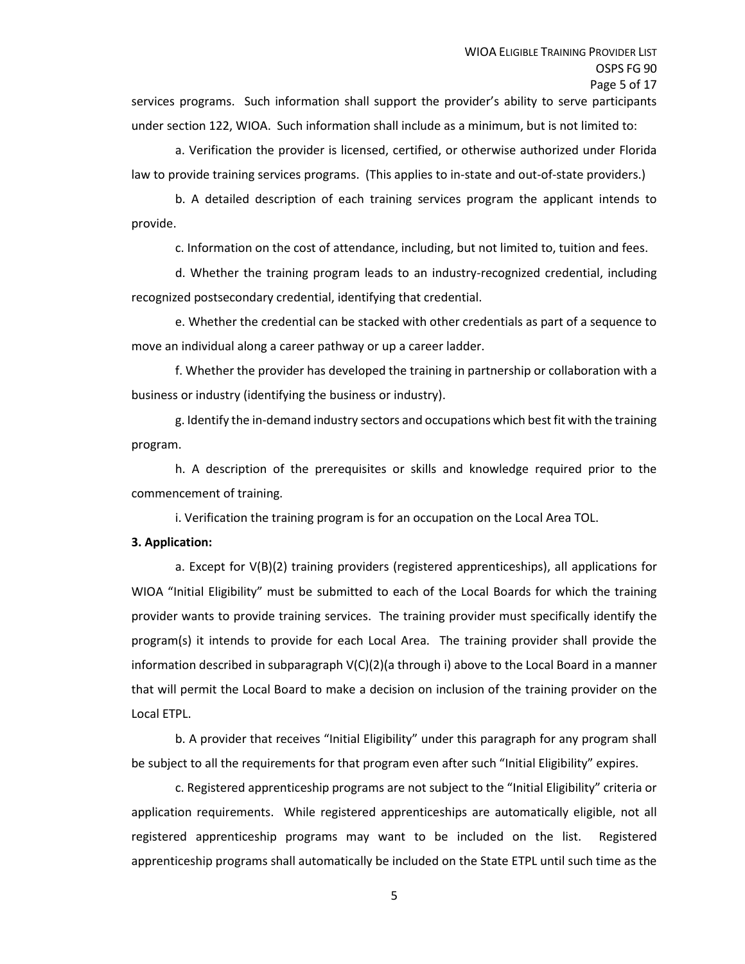services programs. Such information shall support the provider's ability to serve participants under section 122, WIOA. Such information shall include as a minimum, but is not limited to:

a. Verification the provider is licensed, certified, or otherwise authorized under Florida law to provide training services programs. (This applies to in-state and out-of-state providers.)

b. A detailed description of each training services program the applicant intends to provide.

c. Information on the cost of attendance, including, but not limited to, tuition and fees.

d. Whether the training program leads to an industry-recognized credential, including recognized postsecondary credential, identifying that credential.

e. Whether the credential can be stacked with other credentials as part of a sequence to move an individual along a career pathway or up a career ladder.

f. Whether the provider has developed the training in partnership or collaboration with a business or industry (identifying the business or industry).

g. Identify the in-demand industry sectors and occupations which best fit with the training program.

h. A description of the prerequisites or skills and knowledge required prior to the commencement of training.

i. Verification the training program is for an occupation on the Local Area TOL.

#### **3. Application:**

a. Except for V(B)(2) training providers (registered apprenticeships), all applications for WIOA "Initial Eligibility" must be submitted to each of the Local Boards for which the training provider wants to provide training services. The training provider must specifically identify the program(s) it intends to provide for each Local Area. The training provider shall provide the information described in subparagraph V(C)(2)(a through i) above to the Local Board in a manner that will permit the Local Board to make a decision on inclusion of the training provider on the Local ETPL.

b. A provider that receives "Initial Eligibility" under this paragraph for any program shall be subject to all the requirements for that program even after such "Initial Eligibility" expires.

c. Registered apprenticeship programs are not subject to the "Initial Eligibility" criteria or application requirements. While registered apprenticeships are automatically eligible, not all registered apprenticeship programs may want to be included on the list. Registered apprenticeship programs shall automatically be included on the State ETPL until such time as the

5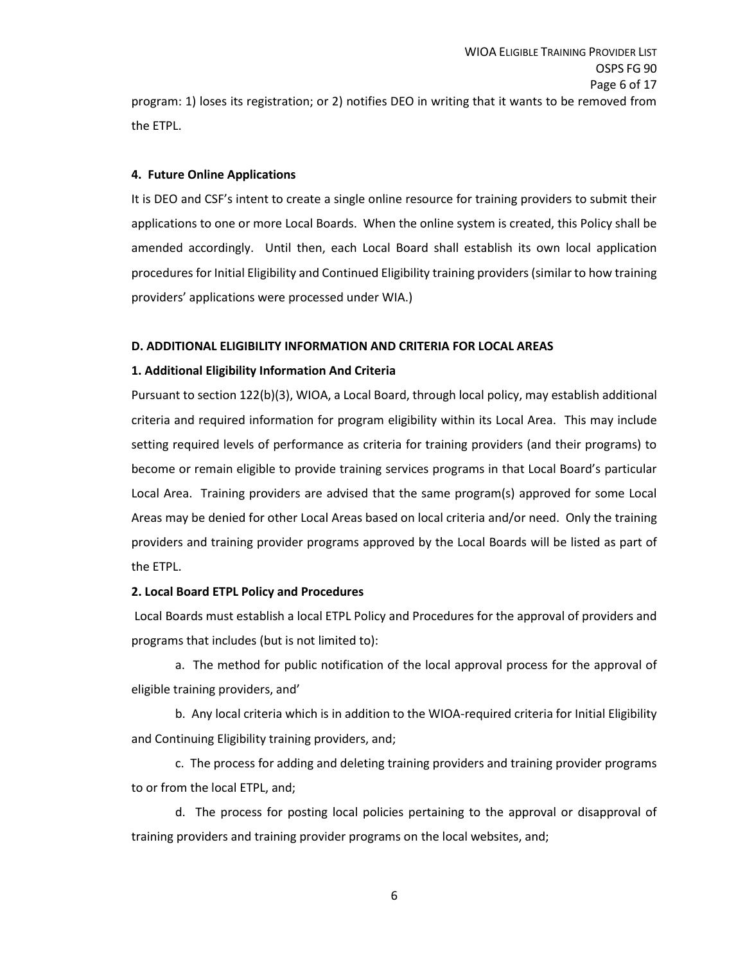program: 1) loses its registration; or 2) notifies DEO in writing that it wants to be removed from the ETPL.

#### **4. Future Online Applications**

It is DEO and CSF's intent to create a single online resource for training providers to submit their applications to one or more Local Boards. When the online system is created, this Policy shall be amended accordingly. Until then, each Local Board shall establish its own local application procedures for Initial Eligibility and Continued Eligibility training providers (similar to how training providers' applications were processed under WIA.)

### **D. ADDITIONAL ELIGIBILITY INFORMATION AND CRITERIA FOR LOCAL AREAS**

## **1. Additional Eligibility Information And Criteria**

Pursuant to section 122(b)(3), WIOA, a Local Board, through local policy, may establish additional criteria and required information for program eligibility within its Local Area. This may include setting required levels of performance as criteria for training providers (and their programs) to become or remain eligible to provide training services programs in that Local Board's particular Local Area. Training providers are advised that the same program(s) approved for some Local Areas may be denied for other Local Areas based on local criteria and/or need. Only the training providers and training provider programs approved by the Local Boards will be listed as part of the ETPL.

## **2. Local Board ETPL Policy and Procedures**

Local Boards must establish a local ETPL Policy and Procedures for the approval of providers and programs that includes (but is not limited to):

a. The method for public notification of the local approval process for the approval of eligible training providers, and'

b. Any local criteria which is in addition to the WIOA-required criteria for Initial Eligibility and Continuing Eligibility training providers, and;

c. The process for adding and deleting training providers and training provider programs to or from the local ETPL, and;

d. The process for posting local policies pertaining to the approval or disapproval of training providers and training provider programs on the local websites, and;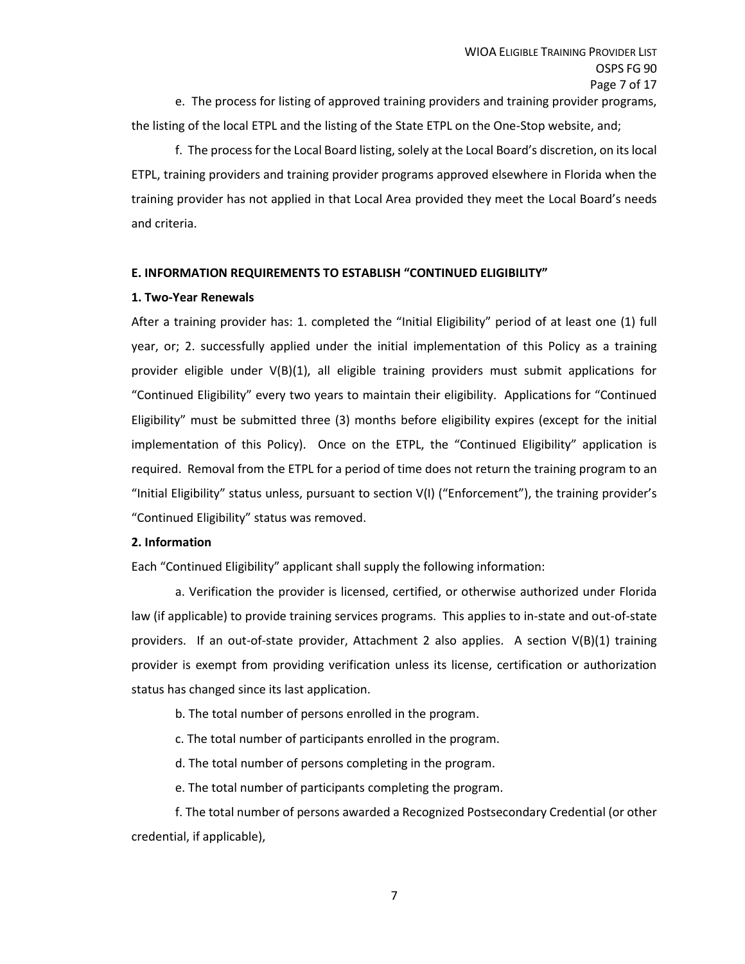e. The process for listing of approved training providers and training provider programs, the listing of the local ETPL and the listing of the State ETPL on the One-Stop website, and;

f. The process for the Local Board listing, solely at the Local Board's discretion, on its local ETPL, training providers and training provider programs approved elsewhere in Florida when the training provider has not applied in that Local Area provided they meet the Local Board's needs and criteria.

#### **E. INFORMATION REQUIREMENTS TO ESTABLISH "CONTINUED ELIGIBILITY"**

#### **1. Two-Year Renewals**

After a training provider has: 1. completed the "Initial Eligibility" period of at least one (1) full year, or; 2. successfully applied under the initial implementation of this Policy as a training provider eligible under V(B)(1), all eligible training providers must submit applications for "Continued Eligibility" every two years to maintain their eligibility. Applications for "Continued Eligibility" must be submitted three (3) months before eligibility expires (except for the initial implementation of this Policy). Once on the ETPL, the "Continued Eligibility" application is required. Removal from the ETPL for a period of time does not return the training program to an "Initial Eligibility" status unless, pursuant to section V(I) ("Enforcement"), the training provider's "Continued Eligibility" status was removed.

## **2. Information**

Each "Continued Eligibility" applicant shall supply the following information:

a. Verification the provider is licensed, certified, or otherwise authorized under Florida law (if applicable) to provide training services programs. This applies to in-state and out-of-state providers. If an out-of-state provider, Attachment 2 also applies. A section V(B)(1) training provider is exempt from providing verification unless its license, certification or authorization status has changed since its last application.

b. The total number of persons enrolled in the program.

c. The total number of participants enrolled in the program.

d. The total number of persons completing in the program.

e. The total number of participants completing the program.

f. The total number of persons awarded a Recognized Postsecondary Credential (or other credential, if applicable),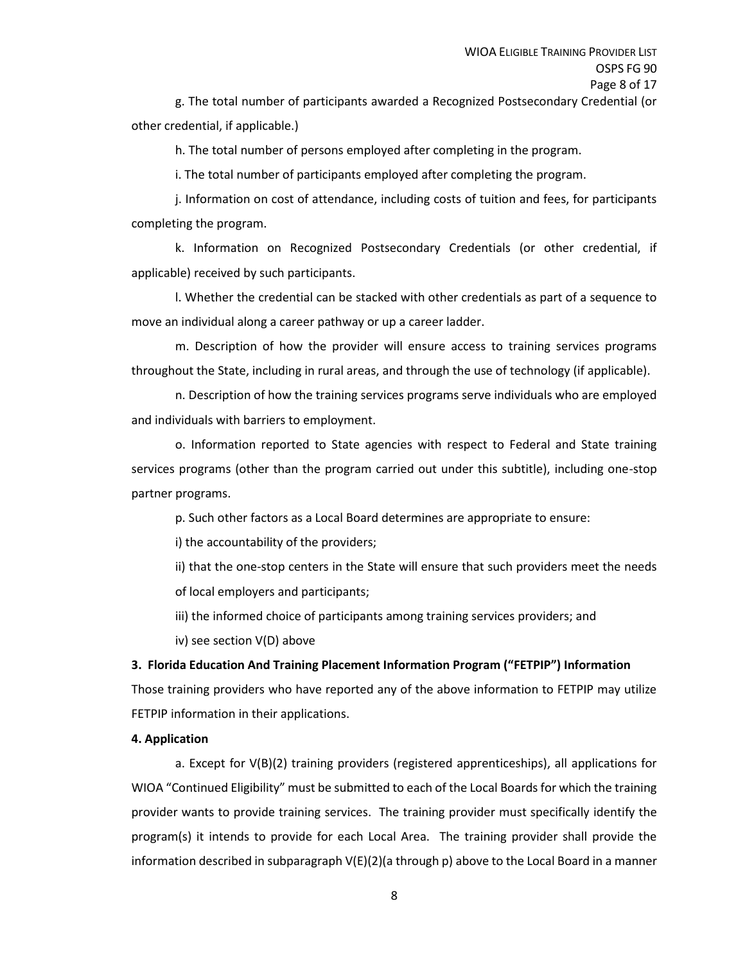g. The total number of participants awarded a Recognized Postsecondary Credential (or other credential, if applicable.)

h. The total number of persons employed after completing in the program.

i. The total number of participants employed after completing the program.

j. Information on cost of attendance, including costs of tuition and fees, for participants completing the program.

k. Information on Recognized Postsecondary Credentials (or other credential, if applicable) received by such participants.

l. Whether the credential can be stacked with other credentials as part of a sequence to move an individual along a career pathway or up a career ladder.

m. Description of how the provider will ensure access to training services programs throughout the State, including in rural areas, and through the use of technology (if applicable).

n. Description of how the training services programs serve individuals who are employed and individuals with barriers to employment.

o. Information reported to State agencies with respect to Federal and State training services programs (other than the program carried out under this subtitle), including one-stop partner programs.

p. Such other factors as a Local Board determines are appropriate to ensure:

i) the accountability of the providers;

ii) that the one-stop centers in the State will ensure that such providers meet the needs of local employers and participants;

iii) the informed choice of participants among training services providers; and

iv) see section V(D) above

#### **3. Florida Education And Training Placement Information Program ("FETPIP") Information**

Those training providers who have reported any of the above information to FETPIP may utilize FETPIP information in their applications.

#### **4. Application**

a. Except for V(B)(2) training providers (registered apprenticeships), all applications for WIOA "Continued Eligibility" must be submitted to each of the Local Boards for which the training provider wants to provide training services. The training provider must specifically identify the program(s) it intends to provide for each Local Area. The training provider shall provide the information described in subparagraph V(E)(2)(a through p) above to the Local Board in a manner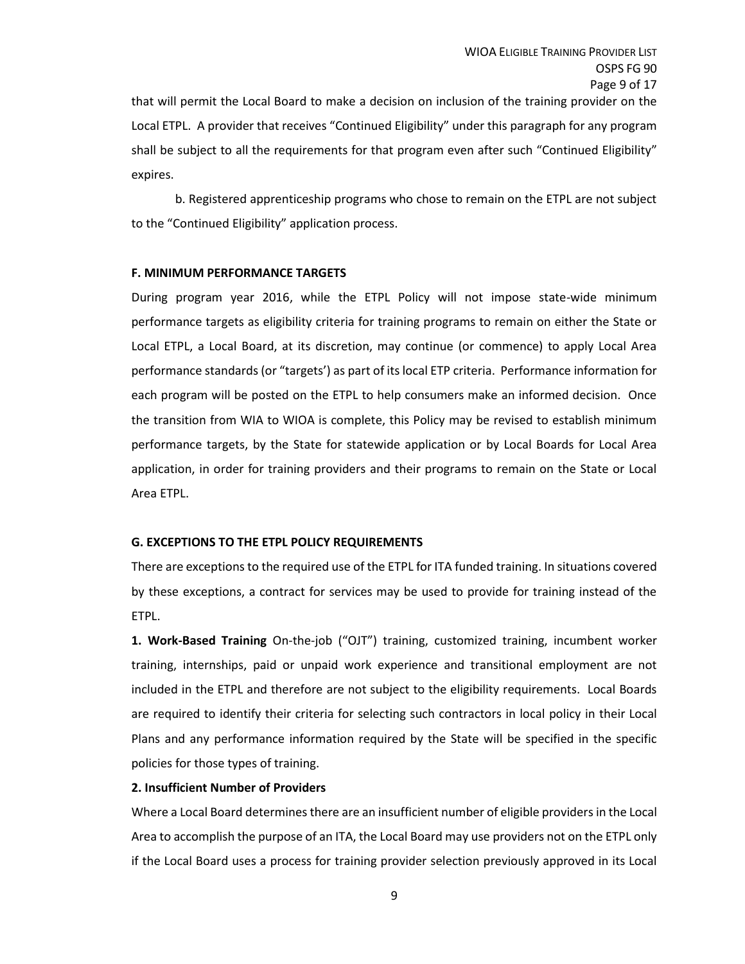that will permit the Local Board to make a decision on inclusion of the training provider on the Local ETPL. A provider that receives "Continued Eligibility" under this paragraph for any program shall be subject to all the requirements for that program even after such "Continued Eligibility" expires.

b. Registered apprenticeship programs who chose to remain on the ETPL are not subject to the "Continued Eligibility" application process.

#### **F. MINIMUM PERFORMANCE TARGETS**

During program year 2016, while the ETPL Policy will not impose state-wide minimum performance targets as eligibility criteria for training programs to remain on either the State or Local ETPL, a Local Board, at its discretion, may continue (or commence) to apply Local Area performance standards (or "targets') as part of its local ETP criteria. Performance information for each program will be posted on the ETPL to help consumers make an informed decision. Once the transition from WIA to WIOA is complete, this Policy may be revised to establish minimum performance targets, by the State for statewide application or by Local Boards for Local Area application, in order for training providers and their programs to remain on the State or Local Area ETPL.

#### **G. EXCEPTIONS TO THE ETPL POLICY REQUIREMENTS**

There are exceptions to the required use of the ETPL for ITA funded training. In situations covered by these exceptions, a contract for services may be used to provide for training instead of the ETPL.

**1. Work-Based Training** On-the-job ("OJT") training, customized training, incumbent worker training, internships, paid or unpaid work experience and transitional employment are not included in the ETPL and therefore are not subject to the eligibility requirements. Local Boards are required to identify their criteria for selecting such contractors in local policy in their Local Plans and any performance information required by the State will be specified in the specific policies for those types of training.

#### **2. Insufficient Number of Providers**

Where a Local Board determines there are an insufficient number of eligible providers in the Local Area to accomplish the purpose of an ITA, the Local Board may use providers not on the ETPL only if the Local Board uses a process for training provider selection previously approved in its Local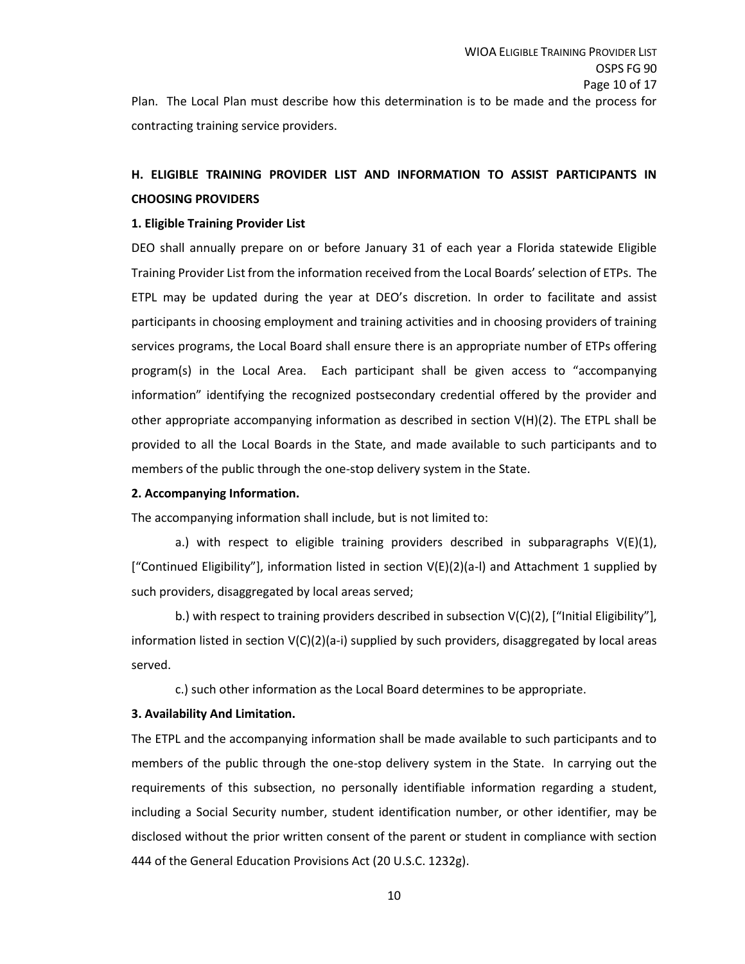Plan. The Local Plan must describe how this determination is to be made and the process for contracting training service providers.

## **H. ELIGIBLE TRAINING PROVIDER LIST AND INFORMATION TO ASSIST PARTICIPANTS IN CHOOSING PROVIDERS**

## **1. Eligible Training Provider List**

DEO shall annually prepare on or before January 31 of each year a Florida statewide Eligible Training Provider List from the information received from the Local Boards' selection of ETPs. The ETPL may be updated during the year at DEO's discretion. In order to facilitate and assist participants in choosing employment and training activities and in choosing providers of training services programs, the Local Board shall ensure there is an appropriate number of ETPs offering program(s) in the Local Area. Each participant shall be given access to "accompanying information" identifying the recognized postsecondary credential offered by the provider and other appropriate accompanying information as described in section V(H)(2). The ETPL shall be provided to all the Local Boards in the State, and made available to such participants and to members of the public through the one-stop delivery system in the State.

## **2. Accompanying Information.**

The accompanying information shall include, but is not limited to:

a.) with respect to eligible training providers described in subparagraphs  $V(E)(1)$ , ["Continued Eligibility"], information listed in section  $V(E)(2)(a-l)$  and Attachment 1 supplied by such providers, disaggregated by local areas served;

b.) with respect to training providers described in subsection V(C)(2), ["Initial Eligibility"], information listed in section  $V(C)(2)(a-i)$  supplied by such providers, disaggregated by local areas served.

c.) such other information as the Local Board determines to be appropriate.

## **3. Availability And Limitation.**

The ETPL and the accompanying information shall be made available to such participants and to members of the public through the one-stop delivery system in the State. In carrying out the requirements of this subsection, no personally identifiable information regarding a student, including a Social Security number, student identification number, or other identifier, may be disclosed without the prior written consent of the parent or student in compliance with section 444 of the General Education Provisions Act (20 U.S.C. 1232g).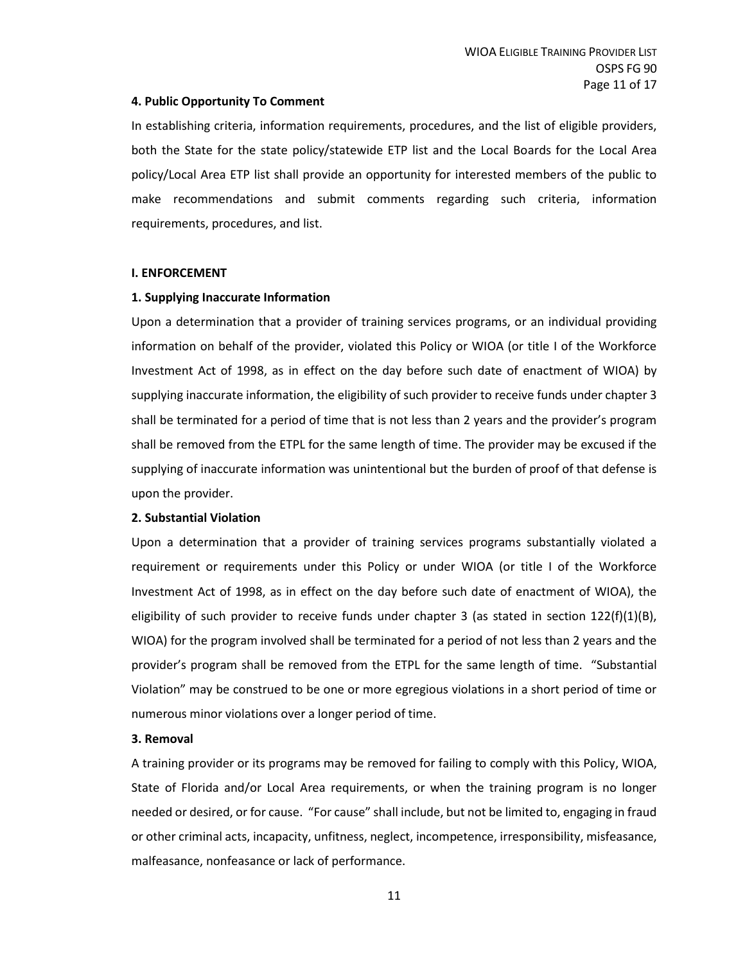#### **4. Public Opportunity To Comment**

In establishing criteria, information requirements, procedures, and the list of eligible providers, both the State for the state policy/statewide ETP list and the Local Boards for the Local Area policy/Local Area ETP list shall provide an opportunity for interested members of the public to make recommendations and submit comments regarding such criteria, information requirements, procedures, and list.

#### **I. ENFORCEMENT**

#### **1. Supplying Inaccurate Information**

Upon a determination that a provider of training services programs, or an individual providing information on behalf of the provider, violated this Policy or WIOA (or title I of the Workforce Investment Act of 1998, as in effect on the day before such date of enactment of WIOA) by supplying inaccurate information, the eligibility of such provider to receive funds under chapter 3 shall be terminated for a period of time that is not less than 2 years and the provider's program shall be removed from the ETPL for the same length of time. The provider may be excused if the supplying of inaccurate information was unintentional but the burden of proof of that defense is upon the provider.

#### **2. Substantial Violation**

Upon a determination that a provider of training services programs substantially violated a requirement or requirements under this Policy or under WIOA (or title I of the Workforce Investment Act of 1998, as in effect on the day before such date of enactment of WIOA), the eligibility of such provider to receive funds under chapter 3 (as stated in section  $122(f)(1)(B)$ , WIOA) for the program involved shall be terminated for a period of not less than 2 years and the provider's program shall be removed from the ETPL for the same length of time. "Substantial Violation" may be construed to be one or more egregious violations in a short period of time or numerous minor violations over a longer period of time.

#### **3. Removal**

A training provider or its programs may be removed for failing to comply with this Policy, WIOA, State of Florida and/or Local Area requirements, or when the training program is no longer needed or desired, or for cause. "For cause" shall include, but not be limited to, engaging in fraud or other criminal acts, incapacity, unfitness, neglect, incompetence, irresponsibility, misfeasance, malfeasance, nonfeasance or lack of performance.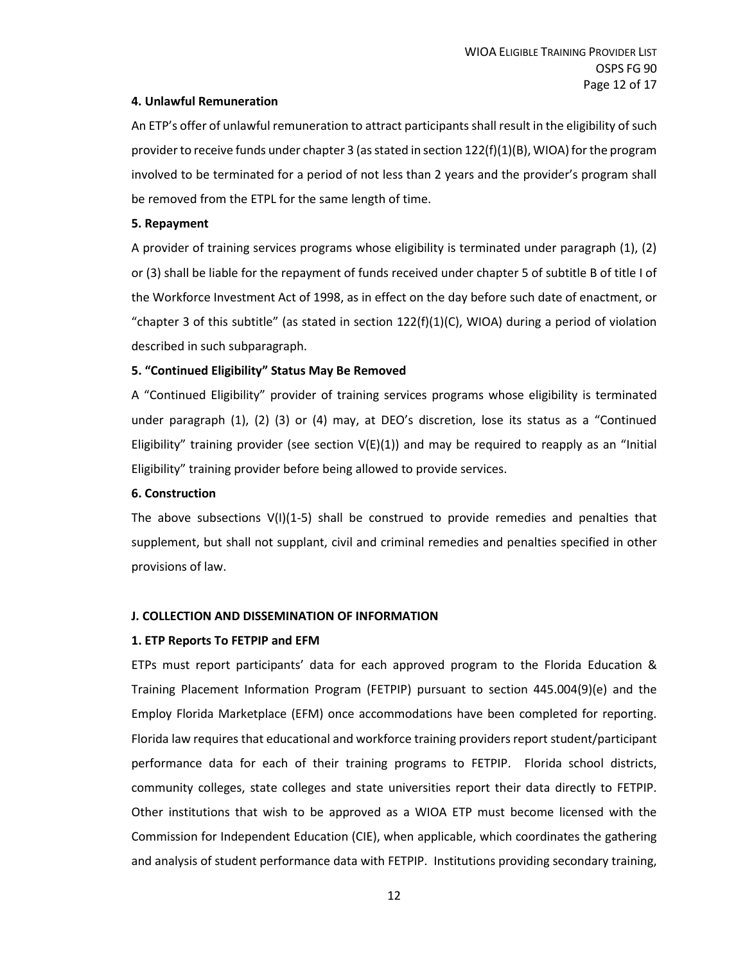## **4. Unlawful Remuneration**

An ETP's offer of unlawful remuneration to attract participants shall result in the eligibility of such provider to receive funds under chapter 3 (as stated in section 122(f)(1)(B), WIOA) for the program involved to be terminated for a period of not less than 2 years and the provider's program shall be removed from the ETPL for the same length of time.

## **5. Repayment**

A provider of training services programs whose eligibility is terminated under paragraph (1), (2) or (3) shall be liable for the repayment of funds received under chapter 5 of subtitle B of title I of the Workforce Investment Act of 1998, as in effect on the day before such date of enactment, or "chapter 3 of this subtitle" (as stated in section  $122(f)(1)(C)$ , WIOA) during a period of violation described in such subparagraph.

## **5. "Continued Eligibility" Status May Be Removed**

A "Continued Eligibility" provider of training services programs whose eligibility is terminated under paragraph (1), (2) (3) or (4) may, at DEO's discretion, lose its status as a "Continued Eligibility" training provider (see section  $V(E)(1)$ ) and may be required to reapply as an "Initial Eligibility" training provider before being allowed to provide services.

## **6. Construction**

The above subsections  $V(1)(1-5)$  shall be construed to provide remedies and penalties that supplement, but shall not supplant, civil and criminal remedies and penalties specified in other provisions of law.

## **J. COLLECTION AND DISSEMINATION OF INFORMATION**

## **1. ETP Reports To FETPIP and EFM**

ETPs must report participants' data for each approved program to the Florida Education & Training Placement Information Program (FETPIP) pursuant to section 445.004(9)(e) and the Employ Florida Marketplace (EFM) once accommodations have been completed for reporting. Florida law requires that educational and workforce training providers report student/participant performance data for each of their training programs to FETPIP. Florida school districts, community colleges, state colleges and state universities report their data directly to FETPIP. Other institutions that wish to be approved as a WIOA ETP must become licensed with the Commission for Independent Education (CIE), when applicable, which coordinates the gathering and analysis of student performance data with FETPIP. Institutions providing secondary training,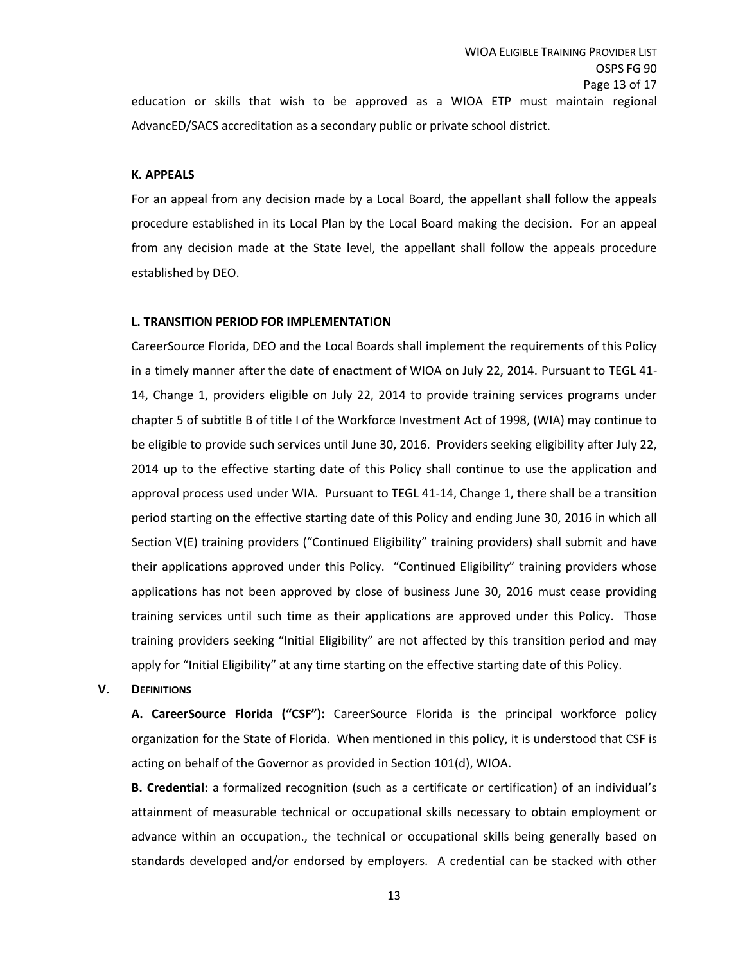AdvancED/SACS accreditation as a secondary public or private school district.

#### **K. APPEALS**

For an appeal from any decision made by a Local Board, the appellant shall follow the appeals procedure established in its Local Plan by the Local Board making the decision. For an appeal from any decision made at the State level, the appellant shall follow the appeals procedure established by DEO.

#### **L. TRANSITION PERIOD FOR IMPLEMENTATION**

CareerSource Florida, DEO and the Local Boards shall implement the requirements of this Policy in a timely manner after the date of enactment of WIOA on July 22, 2014. Pursuant to TEGL 41- 14, Change 1, providers eligible on July 22, 2014 to provide training services programs under chapter 5 of subtitle B of title I of the Workforce Investment Act of 1998, (WIA) may continue to be eligible to provide such services until June 30, 2016. Providers seeking eligibility after July 22, 2014 up to the effective starting date of this Policy shall continue to use the application and approval process used under WIA. Pursuant to TEGL 41-14, Change 1, there shall be a transition period starting on the effective starting date of this Policy and ending June 30, 2016 in which all Section V(E) training providers ("Continued Eligibility" training providers) shall submit and have their applications approved under this Policy. "Continued Eligibility" training providers whose applications has not been approved by close of business June 30, 2016 must cease providing training services until such time as their applications are approved under this Policy. Those training providers seeking "Initial Eligibility" are not affected by this transition period and may apply for "Initial Eligibility" at any time starting on the effective starting date of this Policy.

#### **V. DEFINITIONS**

**A. CareerSource Florida ("CSF"):** CareerSource Florida is the principal workforce policy organization for the State of Florida. When mentioned in this policy, it is understood that CSF is acting on behalf of the Governor as provided in Section 101(d), WIOA.

**B. Credential:** a formalized recognition (such as a certificate or certification) of an individual's attainment of measurable technical or occupational skills necessary to obtain employment or advance within an occupation., the technical or occupational skills being generally based on standards developed and/or endorsed by employers. A credential can be stacked with other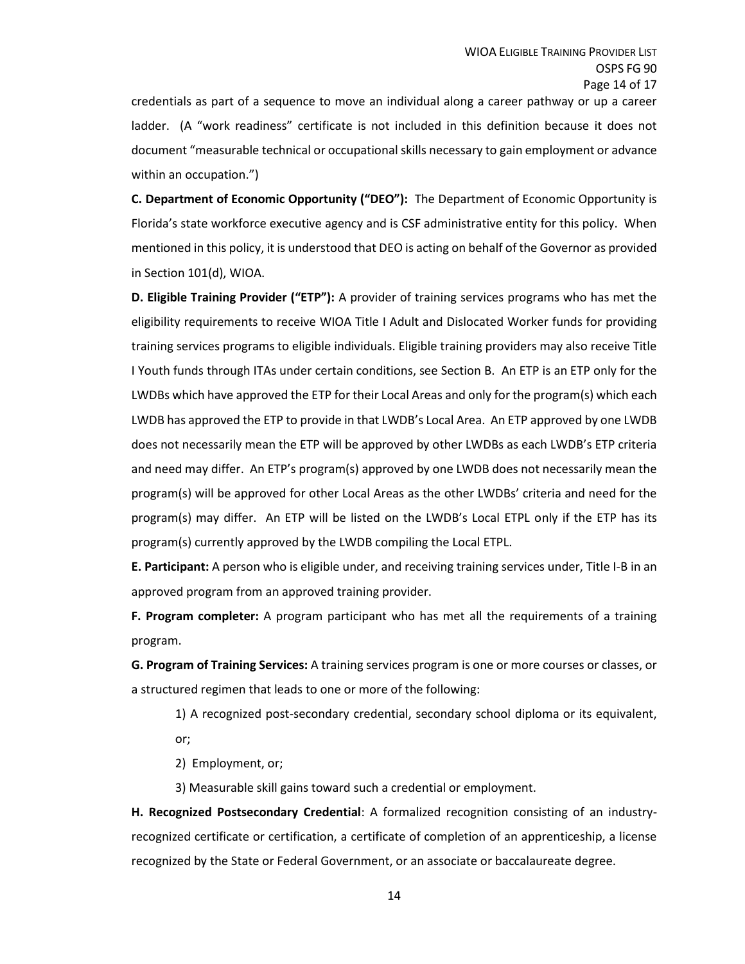credentials as part of a sequence to move an individual along a career pathway or up a career ladder. (A "work readiness" certificate is not included in this definition because it does not document "measurable technical or occupational skills necessary to gain employment or advance within an occupation.")

**C. Department of Economic Opportunity ("DEO"):** The Department of Economic Opportunity is Florida's state workforce executive agency and is CSF administrative entity for this policy. When mentioned in this policy, it is understood that DEO is acting on behalf of the Governor as provided in Section 101(d), WIOA.

**D. Eligible Training Provider ("ETP"):** A provider of training services programs who has met the eligibility requirements to receive WIOA Title I Adult and Dislocated Worker funds for providing training services programs to eligible individuals. Eligible training providers may also receive Title I Youth funds through ITAs under certain conditions, see Section B. An ETP is an ETP only for the LWDBs which have approved the ETP for their Local Areas and only for the program(s) which each LWDB has approved the ETP to provide in that LWDB's Local Area. An ETP approved by one LWDB does not necessarily mean the ETP will be approved by other LWDBs as each LWDB's ETP criteria and need may differ. An ETP's program(s) approved by one LWDB does not necessarily mean the program(s) will be approved for other Local Areas as the other LWDBs' criteria and need for the program(s) may differ. An ETP will be listed on the LWDB's Local ETPL only if the ETP has its program(s) currently approved by the LWDB compiling the Local ETPL.

**E. Participant:** A person who is eligible under, and receiving training services under, Title I-B in an approved program from an approved training provider.

**F. Program completer:** A program participant who has met all the requirements of a training program.

**G. Program of Training Services:** A training services program is one or more courses or classes, or a structured regimen that leads to one or more of the following:

1) A recognized post-secondary credential, secondary school diploma or its equivalent, or;

2) Employment, or;

3) Measurable skill gains toward such a credential or employment.

**H. Recognized Postsecondary Credential**: A formalized recognition consisting of an industryrecognized certificate or certification, a certificate of completion of an apprenticeship, a license recognized by the State or Federal Government, or an associate or baccalaureate degree.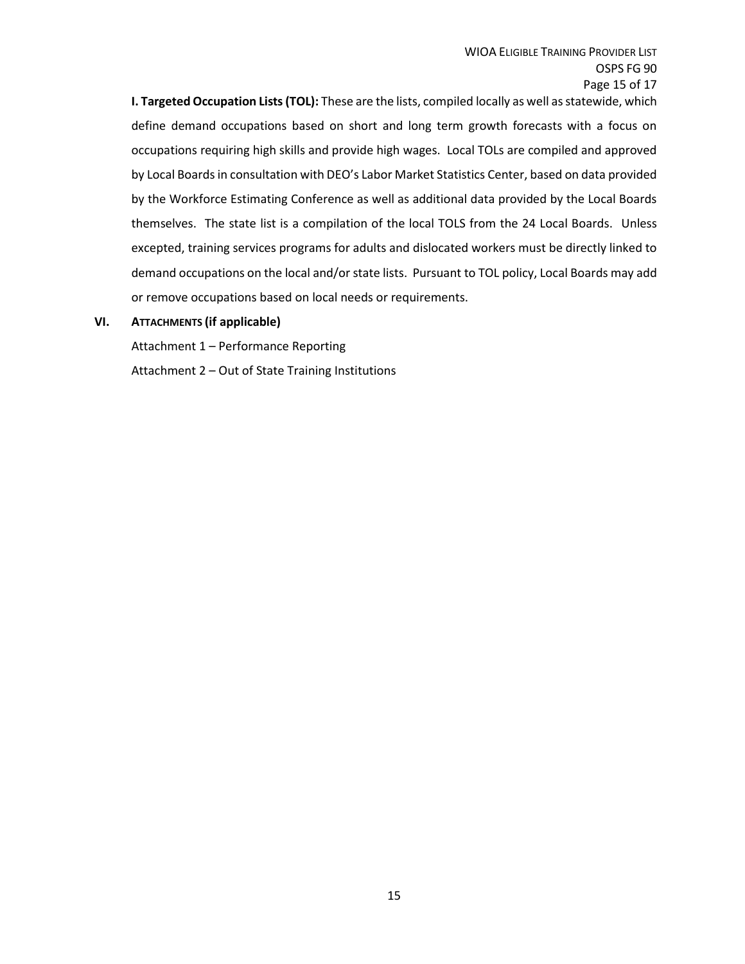**I. Targeted Occupation Lists (TOL):** These are the lists, compiled locally as well as statewide, which define demand occupations based on short and long term growth forecasts with a focus on occupations requiring high skills and provide high wages. Local TOLs are compiled and approved by Local Boards in consultation with DEO's Labor Market Statistics Center, based on data provided by the Workforce Estimating Conference as well as additional data provided by the Local Boards themselves. The state list is a compilation of the local TOLS from the 24 Local Boards. Unless excepted, training services programs for adults and dislocated workers must be directly linked to demand occupations on the local and/or state lists. Pursuant to TOL policy, Local Boards may add or remove occupations based on local needs or requirements.

#### **VI. ATTACHMENTS (if applicable)**

Attachment 1 – Performance Reporting

Attachment 2 – Out of State Training Institutions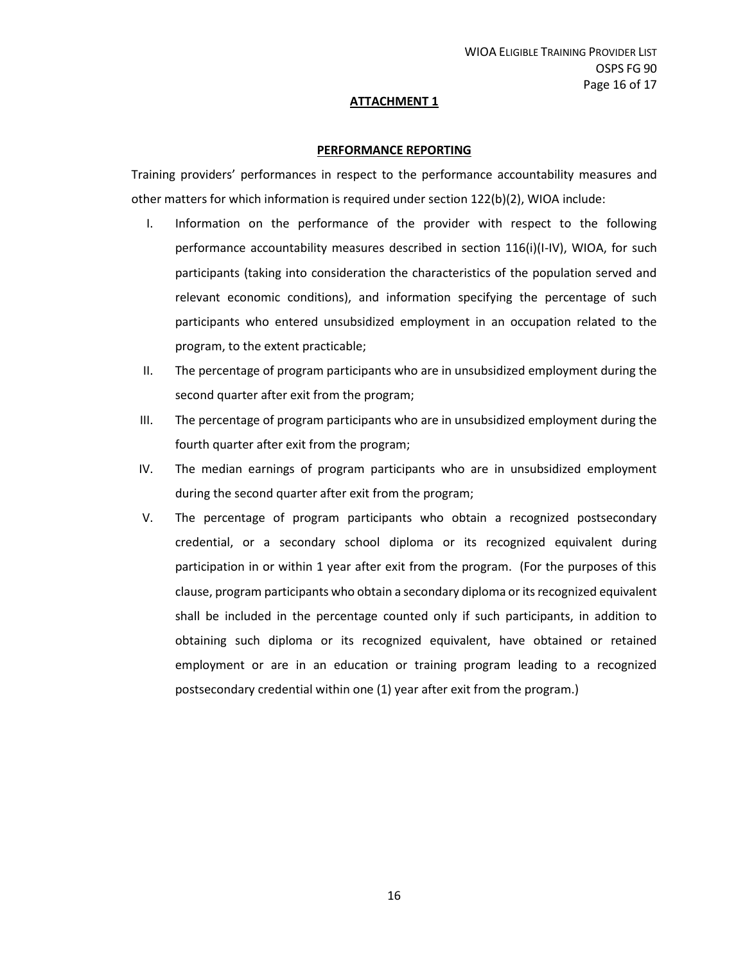#### **ATTACHMENT 1**

#### **PERFORMANCE REPORTING**

Training providers' performances in respect to the performance accountability measures and other matters for which information is required under section 122(b)(2), WIOA include:

- I. Information on the performance of the provider with respect to the following performance accountability measures described in section 116(i)(I-IV), WIOA, for such participants (taking into consideration the characteristics of the population served and relevant economic conditions), and information specifying the percentage of such participants who entered unsubsidized employment in an occupation related to the program, to the extent practicable;
- II. The percentage of program participants who are in unsubsidized employment during the second quarter after exit from the program;
- III. The percentage of program participants who are in unsubsidized employment during the fourth quarter after exit from the program;
- IV. The median earnings of program participants who are in unsubsidized employment during the second quarter after exit from the program;
- V. The percentage of program participants who obtain a recognized postsecondary credential, or a secondary school diploma or its recognized equivalent during participation in or within 1 year after exit from the program. (For the purposes of this clause, program participants who obtain a secondary diploma or its recognized equivalent shall be included in the percentage counted only if such participants, in addition to obtaining such diploma or its recognized equivalent, have obtained or retained employment or are in an education or training program leading to a recognized postsecondary credential within one (1) year after exit from the program.)